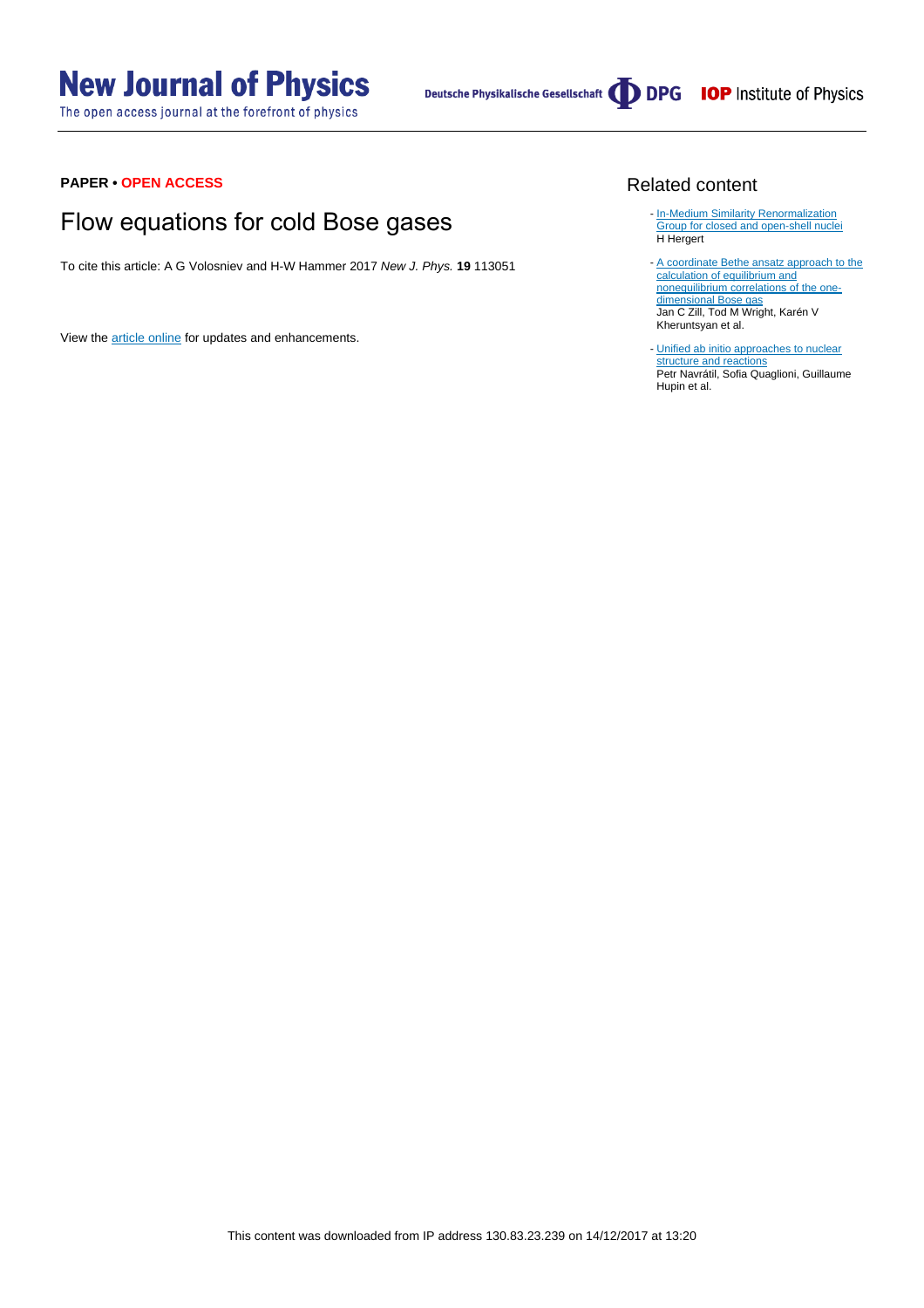# **New Journal of Physics**

The open access journal at the forefront of physics

Deutsche Physikalische Gesellschaft **ODPG** IOP Institute of Physics

#### **PAPER • OPEN ACCESS**

## Flow equations for cold Bose gases

To cite this article: A G Volosniev and H-W Hammer 2017 New J. Phys. **19** 113051

View the [article online](https://doi.org/10.1088/1367-2630/aa9011) for updates and enhancements.

#### Related content

- [In-Medium Similarity Renormalization](http://iopscience.iop.org/article/10.1088/1402-4896/92/2/023002) [Group for closed and open-shell nuclei](http://iopscience.iop.org/article/10.1088/1402-4896/92/2/023002) H Hergert
- [A coordinate Bethe ansatz approach to the](http://iopscience.iop.org/article/10.1088/1367-2630/18/4/045010) [calculation of equilibrium and](http://iopscience.iop.org/article/10.1088/1367-2630/18/4/045010) [nonequilibrium correlations of the one](http://iopscience.iop.org/article/10.1088/1367-2630/18/4/045010)[dimensional Bose gas](http://iopscience.iop.org/article/10.1088/1367-2630/18/4/045010) Jan C Zill, Tod M Wright, Karén V  $K$ heruntsyan et al.
- [Unified ab initio approaches to nuclear](http://iopscience.iop.org/article/10.1088/0031-8949/91/5/053002) [structure and reactions](http://iopscience.iop.org/article/10.1088/0031-8949/91/5/053002) Petr Navrátil, Sofia Quaglioni, Guillaume Hupin et al.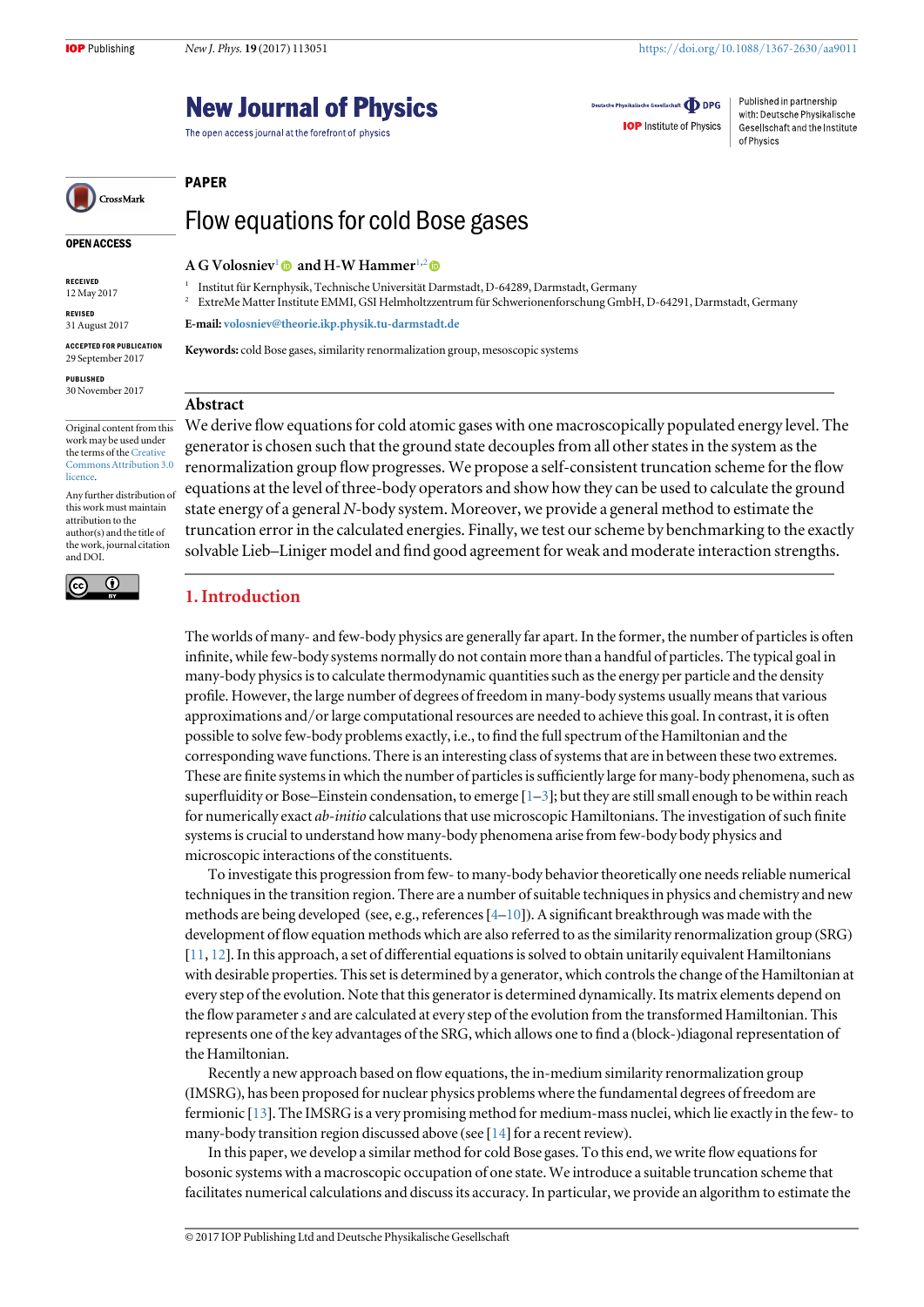### **New Journal of Physics**

The open access journal at the forefront of physics

Deutsche Physikalische Gesellschaft **DDPG** 

**IOP** Institute of Physics

Published in partnership with: Deutsche Physikalische Gesellschaft and the Institute of Physics

## CrossMark

#### OPEN ACCESS

RECEIVED 12 May 2017

REVISED 31 August 2017

ACCEPTED FOR PUBLICATION 29 September 2017

PUBLISHED 30 November 2017

Original content from this work may be used under the terms of the [Creative](http://creativecommons.org/licenses/by/3.0) [Commons Attribution 3.0](http://creativecommons.org/licenses/by/3.0) **licence** 

Any further distribution of this work must maintain attribution to the author(s) and the title of the work, journal citation and DOI.



## Flow equations for cold Bose gases

A G Volosniev<sup>1</sup> and H-W Hammer<sup>1,2</sup>

<sup>1</sup> Institut für Kernphysik, Technische Universität Darmstadt, D-64289, Darmstadt, Germany

<sup>2</sup> ExtreMe Matter Institute EMMI, GSI Helmholtzzentrum für Schwerionenforschung GmbH, D-64291, Darmstadt, Germany

E-mail: [volosniev@theorie.ikp.physik.tu-darmstadt.de](mailto:volosniev@theorie.ikp.physik.tu-darmstadt.de)

Keywords: cold Bose gases, similarity renormalization group, mesoscopic systems

#### Abstract

PAPER

We derive flow equations for cold atomic gases with one macroscopically populated energy level. The generator is chosen such that the ground state decouples from all other states in the system as the renormalization group flow progresses. We propose a self-consistent truncation scheme for the flow equations at the level of three-body operators and show how they can be used to calculate the ground state energy of a general N-body system. Moreover, we provide a general method to estimate the truncation error in the calculated energies. Finally, we test our scheme by benchmarking to the exactly solvable Lieb–Liniger model and find good agreement for weak and moderate interaction strengths.

#### 1. Introduction

The worlds of many- and few-body physics are generally far apart. In the former, the number of particles is often infinite, while few-body systems normally do not contain more than a handful of particles. The typical goal in many-body physics is to calculate thermodynamic quantities such as the energy per particle and the density profile. However, the large number of degrees of freedom in many-body systems usually means that various approximations and/or large computational resources are needed to achieve this goal. In contrast, it is often possible to solve few-body problems exactly, i.e., to find the full spectrum of the Hamiltonian and the corresponding wave functions. There is an interesting class of systems that are in between these two extremes. These are finite systems in which the number of particles is sufficiently large for many-body phenomena, such as superfluidity or Bose–Einstein condensation, to emerge  $[1-3]$  $[1-3]$  $[1-3]$  $[1-3]$  $[1-3]$ ; but they are still small enough to be within reach for numerically exact ab-initio calculations that use microscopic Hamiltonians. The investigation of such finite systems is crucial to understand how many-body phenomena arise from few-body body physics and microscopic interactions of the constituents.

To investigate this progression from few- to many-body behavior theoretically one needs reliable numerical techniques in the transition region. There are a number of suitable techniques in physics and chemistry and new methods are being developed (see, e.g., references  $[4-10]$  $[4-10]$  $[4-10]$  $[4-10]$  $[4-10]$ ). A significant breakthrough was made with the development of flow equation methods which are also referred to as the similarity renormalization group (SRG) [[11,](#page-12-0) [12](#page-12-0)]. In this approach, a set of differential equations is solved to obtain unitarily equivalent Hamiltonians with desirable properties. This set is determined by a generator, which controls the change of the Hamiltonian at every step of the evolution. Note that this generator is determined dynamically. Its matrix elements depend on the flow parameter s and are calculated at every step of the evolution from the transformed Hamiltonian. This represents one of the key advantages of the SRG, which allows one to find a (block-)diagonal representation of the Hamiltonian.

Recently a new approach based on flow equations, the in-medium similarity renormalization group (IMSRG), has been proposed for nuclear physics problems where the fundamental degrees of freedom are fermionic [[13](#page-12-0)]. The IMSRG is a very promising method for medium-mass nuclei, which lie exactly in the few- to many-body transition region discussed above (see [[14](#page-12-0)] for a recent review).

In this paper, we develop a similar method for cold Bose gases. To this end, we write flow equations for bosonic systems with a macroscopic occupation of one state. We introduce a suitable truncation scheme that facilitates numerical calculations and discuss its accuracy. In particular, we provide an algorithm to estimate the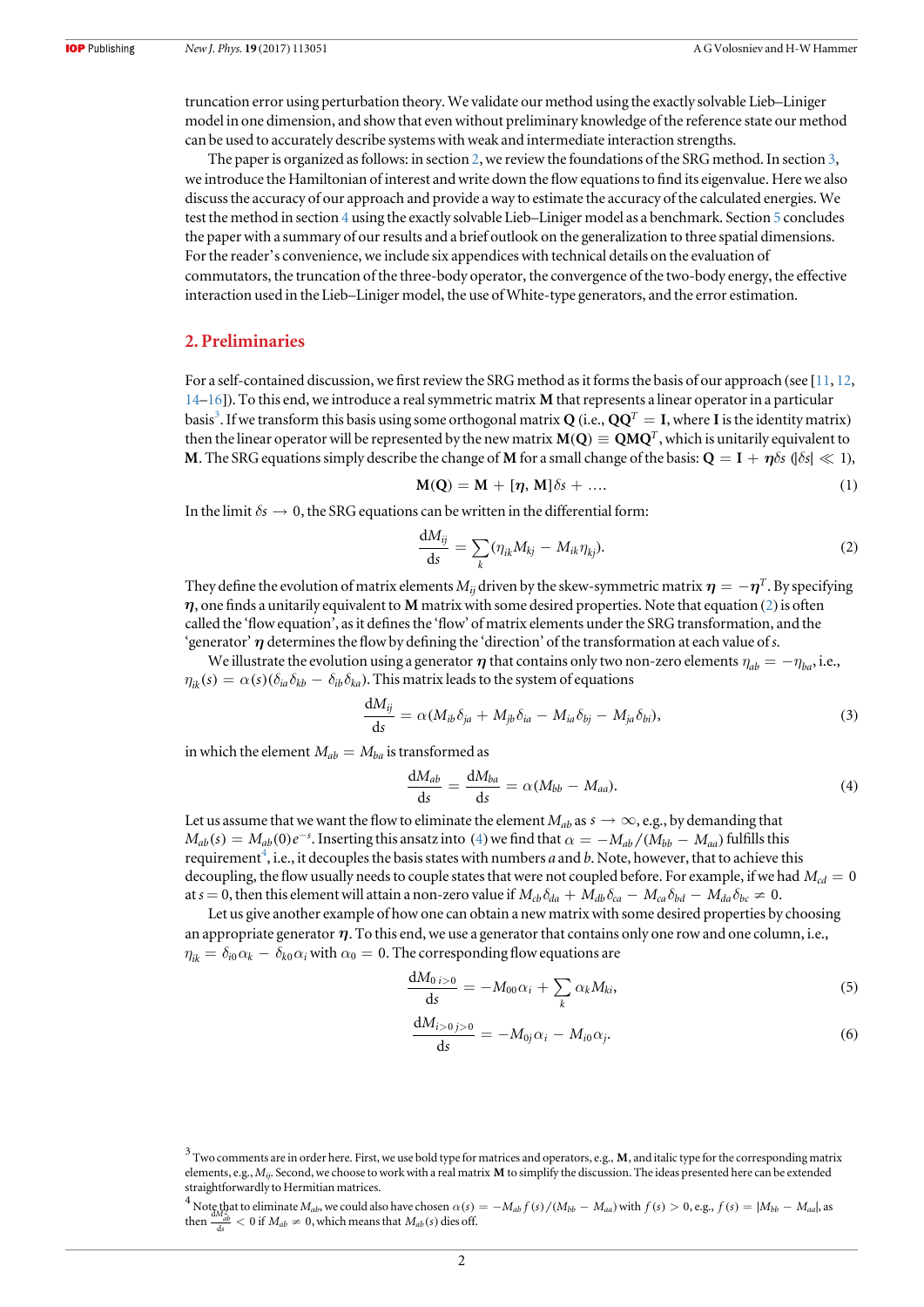<span id="page-2-0"></span>truncation error using perturbation theory. We validate our method using the exactly solvable Lieb–Liniger model in one dimension, and show that even without preliminary knowledge of the reference state our method can be used to accurately describe systems with weak and intermediate interaction strengths.

The paper is organized as follows: in section 2, we review the foundations of the SRG method. In section [3,](#page-3-0) we introduce the Hamiltonian of interest and write down the flow equations to find its eigenvalue. Here we also discuss the accuracy of our approach and provide a way to estimate the accuracy of the calculated energies. We test the method in section [4](#page-5-0) using the exactly solvable Lieb–Liniger model as a benchmark. Section [5](#page-6-0) concludes the paper with a summary of our results and a brief outlook on the generalization to three spatial dimensions. For the reader's convenience, we include six appendices with technical details on the evaluation of commutators, the truncation of the three-body operator, the convergence of the two-body energy, the effective interaction used in the Lieb–Liniger model, the use of White-type generators, and the error estimation.

#### 2. Preliminaries

For a self-contained discussion, we first review the SRG method as it forms the basis of our approach (see [[11](#page-12-0), [12,](#page-12-0) [14](#page-12-0)–[16](#page-12-0)]). To this end, we introduce a real symmetric matrix **M** that represents a linear operator in a particular basis<sup>3</sup>. If we transform this basis using some orthogonal matrix **Q** (i.e.,  $\mathbf{Q}\mathbf{Q}^T=\mathbf{I}$ , where **I** is the identity matrix) then the linear operator will be represented by the new matrix  $M(Q) \equiv QMQ^T$ , which is unitarily equivalent to **M**. The SRG equations simply describe the change of **M** for a small change of the basis:  $Q = I + \eta \delta s$  ( $|\delta s| \ll 1$ ),

$$
M(Q) = M + [\eta, M]\delta s + \dots
$$
 (1)

In the limit  $\delta s \to 0$ , the SRG equations can be written in the differential form:

$$
\frac{\mathrm{d}M_{ij}}{\mathrm{d}s} = \sum_{k} (\eta_{ik} M_{kj} - M_{ik} \eta_{kj}). \tag{2}
$$

They define the evolution of matrix elements  $M_{ij}$  driven by the skew-symmetric matrix  $\eta = -\eta^T$ . By specifying *h*, one finds a unitarily equivalent to **M** matrix with some desired properties. Note that equation (2) is often called the 'flow equation', as it defines the 'flow' of matrix elements under the SRG transformation, and the 'generator' *h* determines the flow by defining the 'direction' of the transformation at each value of s.

We illustrate the evolution using a generator  $\eta$  that contains only two non-zero elements  $\eta_{ab} = -\eta_{ba}$ , i.e.,  $\eta_{ik}(s) = \alpha(s) (\delta_{ia}\delta_{kb} - \delta_{ib}\delta_{ka})$ . This matrix leads to the system of equations

$$
\frac{\mathrm{d}M_{ij}}{\mathrm{d}s} = \alpha (M_{ib}\delta_{ja} + M_{jb}\delta_{ia} - M_{ia}\delta_{bj} - M_{ja}\delta_{bi}),\tag{3}
$$

in which the element  $M_{ab} = M_{ba}$  is transformed as

$$
\frac{dM_{ab}}{ds} = \frac{dM_{ba}}{ds} = \alpha(M_{bb} - M_{aa}).
$$
\n(4)

Let us assume that we want the flow to eliminate the element  $M_{ab}$  as  $s \to \infty$ , e.g., by demanding that  $M_{ab}(s) = M_{ab}(0)e^{-s}$ . Inserting this ansatz into (4) we find that  $\alpha = -M_{ab}/(M_{bb} - M_{aa})$  fulfills this requirement<sup>4</sup>, i.e., it decouples the basis states with numbers a and b. Note, however, that to achieve this decoupling, the flow usually needs to couple states that were not coupled before. For example, if we had  $M_{cd} = 0$ at  $s = 0$ , then this element will attain a non-zero value if  $M_{cb}\delta_{da} + M_{db}\delta_{ca} - M_{ca}\delta_{bd} - M_{da}\delta_{bc} \neq 0$ .

Let us give another example of how one can obtain a new matrix with some desired properties by choosing an appropriate generator *h*. To this end, we use a generator that contains only one row and one column, i.e.,  $\eta_{ik} = \delta_{i0} \alpha_k - \delta_{k0} \alpha_i$  with  $\alpha_0 = 0$ . The corresponding flow equations are

$$
\frac{\mathrm{d}M_{0\,i>0}}{\mathrm{d}s} = -M_{00}\alpha_i + \sum_k \alpha_k M_{ki},\tag{5}
$$

$$
\frac{\mathrm{d}M_{i>0\,j>0}}{\mathrm{d}s} = -M_{0j}\alpha_i - M_{i0}\alpha_j. \tag{6}
$$

<sup>3</sup> Two comments are in order here. First, we use bold type for matrices and operators, e.g., **M**, and italic type for the corresponding matrix elements, e.g., Mij. Second, we choose to work with a real matrix **M** to simplify the discussion. The ideas presented here can be extended straightforwardly to Hermitian matrices.

<sup>&</sup>lt;sup>4</sup> Note that to eliminate  $M_{ab}$ , we could also have chosen  $\alpha(s) = -M_{ab}f(s)/(M_{bb} - M_{aa})$  with  $f(s) > 0$ , e.g.,  $f(s) = |M_{bb} - M_{aa}|$ , as then  $\frac{dM_{ab}^2}{ds} < 0$  if  $M_{ab} \neq 0$ , which means that  $M_{ab}(s)$  dies off.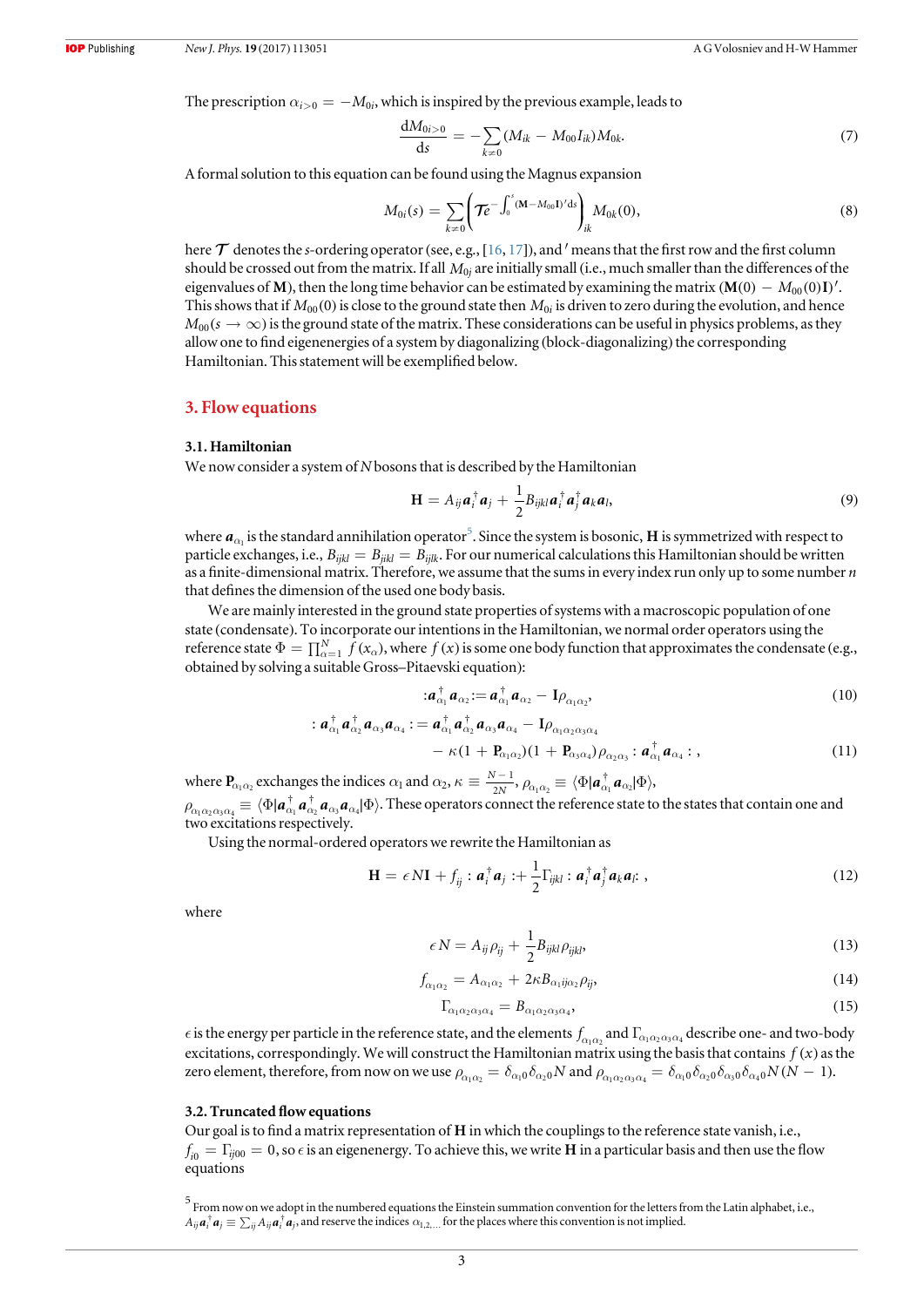<span id="page-3-0"></span>The prescription  $\alpha_{i>0} = -M_{0i}$ , which is inspired by the previous example, leads to

$$
\frac{dM_{0i>0}}{ds} = -\sum_{k\neq 0} (M_{ik} - M_{00}I_{ik})M_{0k}.\tag{7}
$$

A formal solution to this equation can be found using the Magnus expansion

$$
M_{0i}(s) = \sum_{k \neq 0} \left( \mathcal{T}e^{-\int_0^s (\mathbf{M} - M_{00} \mathbf{I})' \mathrm{d}s} \right)_{ik} M_{0k}(0), \tag{8}
$$

here  $\tau$  denotes the s-ordering operator (see, e.g., [[16,](#page-12-0) [17](#page-12-0)]), and ' means that the first row and the first column should be crossed out from the matrix. If all *M*0*<sup>j</sup>* are initially small (i.e., much smaller than the differences of the eigenvalues of **M**), then the long time behavior can be estimated by examining the matrix  $(M(0) - M_{00}(0)I)'$ . This shows that if  $M_{00}(0)$  is close to the ground state then  $M_{0i}$  is driven to zero during the evolution, and hence  $M_{00}(s \to \infty)$  is the ground state of the matrix. These considerations can be useful in physics problems, as they allow one to find eigenenergies of a system by diagonalizing (block-diagonalizing) the corresponding Hamiltonian. This statement will be exemplified below.

#### 3. Flow equations

#### 3.1. Hamiltonian

We now consider a system of N bosons that is described by the Hamiltonian

$$
\mathbf{H} = A_{ij} \boldsymbol{a}_i^{\dagger} \boldsymbol{a}_j + \frac{1}{2} B_{ijkl} \boldsymbol{a}_i^{\dagger} \boldsymbol{a}_j^{\dagger} \boldsymbol{a}_k \boldsymbol{a}_l,
$$
\n(9)

where  $a_{\alpha_1}$  is the standard annihilation operator<sup>5</sup>. Since the system is bosonic, **H** is symmetrized with respect to particle exchanges, i.e.,  $B_{ijkl} = B_{jilk} = B_{ijlk}$ . For our numerical calculations this Hamiltonian should be written as a finite-dimensional matrix. Therefore, we assume that the sums in every index run only up to some number  $n$ that defines the dimension of the used one body basis.

We are mainly interested in the ground state properties of systems with a macroscopic population of one state (condensate). To incorporate our intentions in the Hamiltonian, we normal order operators using the reference state  $\Phi = \prod_{\alpha=1}^{N} f(x_{\alpha})$ , where  $f(x)$  is some one body function that approximates the condensate (e.g., obtained by solving a suitable Gross–Pitaevski equation):

$$
a_{\alpha_1}^{\dagger} a_{\alpha_2} := a_{\alpha_1}^{\dagger} a_{\alpha_2} - I \rho_{\alpha_1 \alpha_2}, \qquad (10)
$$

$$
: a^{\dagger}_{\alpha_1} a^{\dagger}_{\alpha_2} a_{\alpha_3} a_{\alpha_4}: = a^{\dagger}_{\alpha_1} a^{\dagger}_{\alpha_2} a_{\alpha_3} a_{\alpha_4} - I \rho_{\alpha_1 \alpha_2 \alpha_3 \alpha_4} - \kappa (1 + P_{\alpha_1 \alpha_2}) (1 + P_{\alpha_3 \alpha_4}) \rho_{\alpha_2 \alpha_3}: a^{\dagger}_{\alpha_1} a_{\alpha_4}: ,
$$
\n(11)

where  $P_{\alpha_1 \alpha_2}$  exchanges the indices  $\alpha_1$  and  $\alpha_2$ ,  $\kappa \equiv \frac{N - 1}{2N}$  $\kappa \equiv \frac{N-1}{2N}, \rho_{\alpha_1 \alpha_2} \equiv \langle \Phi | \boldsymbol{a}_{\alpha_1}^{\dagger} \boldsymbol{a}_{\alpha_2} | \Phi \rangle$  $\rho_{\alpha_1\alpha_2\alpha_3\alpha_4}\equiv\langle\Phi|{\bm a}_{\alpha_1}^\dagger{\bm a}_{\alpha_2}^\dagger{\bm a}_{\alpha_3}{\bm a}_{\alpha_4}|\Phi\rangle.$  These operators connect the reference state to the states that contain one and two excitations respectively.

Using the normal-ordered operators we rewrite the Hamiltonian as

$$
\mathbf{H} = \epsilon N \mathbf{I} + f_{ij} : \boldsymbol{a}_i^{\dagger} \boldsymbol{a}_j : + \frac{1}{2} \Gamma_{ijkl} : \boldsymbol{a}_i^{\dagger} \boldsymbol{a}_j^{\dagger} \boldsymbol{a}_k \boldsymbol{a}_l : , \qquad (12)
$$

where

$$
\epsilon N = A_{ij}\rho_{ij} + \frac{1}{2}B_{ijkl}\rho_{ijkl},
$$
\n(13)

$$
f_{\alpha_1 \alpha_2} = A_{\alpha_1 \alpha_2} + 2\kappa B_{\alpha_1 i j \alpha_2} \rho_{ij},\tag{14}
$$

$$
\Gamma_{\alpha_1 \alpha_2 \alpha_3 \alpha_4} = B_{\alpha_1 \alpha_2 \alpha_3 \alpha_4},\tag{15}
$$

 $\epsilon$  is the energy per particle in the reference state, and the elements  $f_{\alpha_1\alpha_2}$  and  $\Gamma_{\alpha_1\alpha_2\alpha_3\alpha_4}$  describe one- and two-body excitations, correspondingly. We will construct the Hamiltonian matrix using the basis that contains  $f(x)$  as the zero element, therefore, from now on we use  $\rho_{\alpha_1\alpha_2} = \delta_{\alpha_1 0} \delta_{\alpha_2 0} N$  and  $\rho_{\alpha_1\alpha_2\alpha_3\alpha_4} = \delta_{\alpha_1 0} \delta_{\alpha_2 0} \delta_{\alpha_3 0} \delta_{\alpha_4 0} N(N-1)$ .

#### 3.2. Truncated flow equations

Our goal is to find a matrix representation of **H** in which the couplings to the reference state vanish, i.e.,  $f_{i0} = \Gamma_{i j00} = 0$ , so  $\epsilon$  is an eigenenergy. To achieve this, we write **H** in a particular basis and then use the flow equations

 $^5$  From now on we adopt in the numbered equations the Einstein summation convention for the letters from the Latin alphabet, i.e.,  $A_{ij}a_i^{\dagger}a_j \equiv \sum_{ii} A_{ij}a_i^{\dagger}a_j$ , and reserve the indices  $\alpha_{1,2,...}$  for the places where this convention is not implied.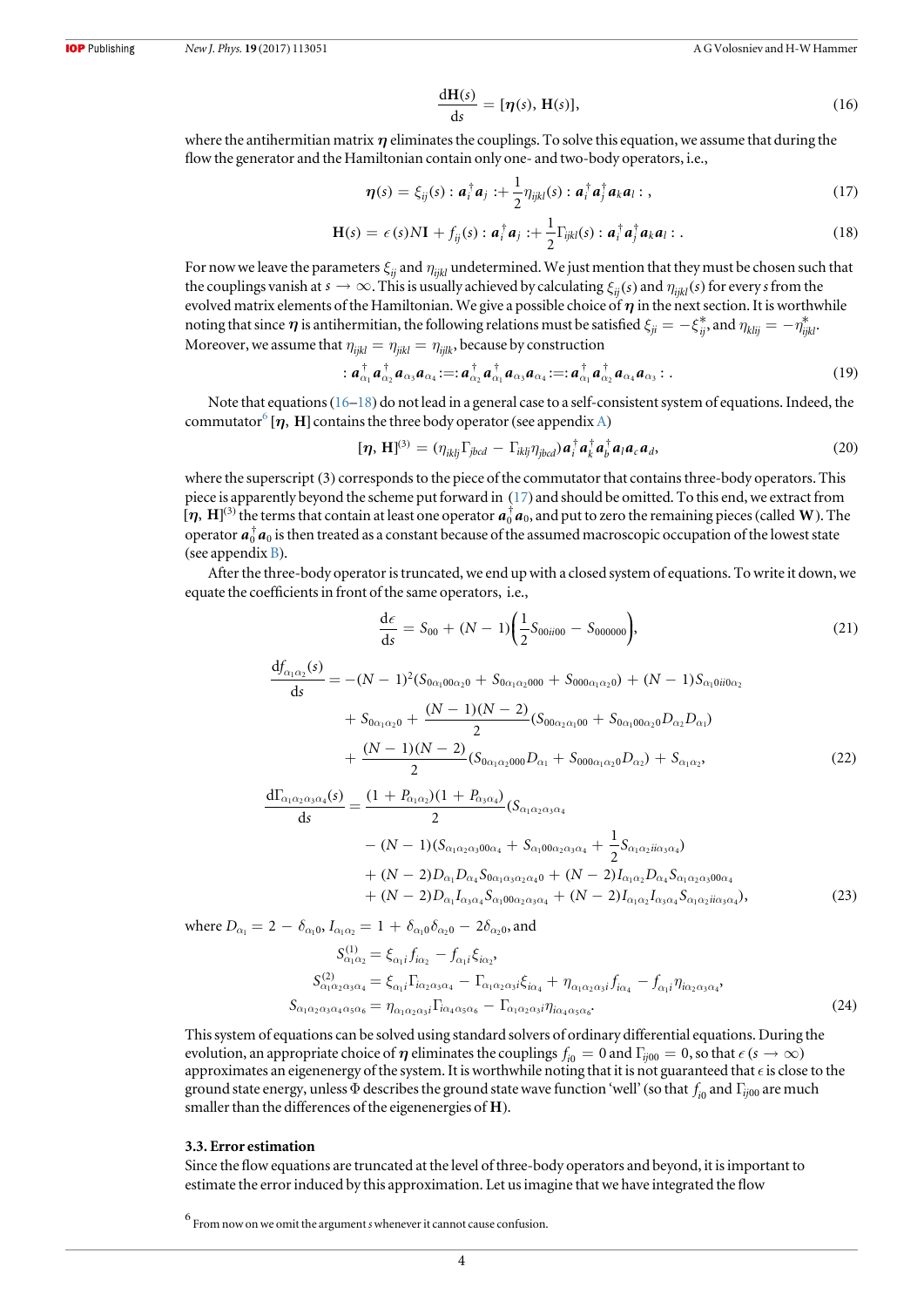$$
\frac{d\mathbf{H}(s)}{ds} = [\eta(s), \mathbf{H}(s)],\tag{16}
$$

<span id="page-4-0"></span>where the antihermitian matrix  $\eta$  eliminates the couplings. To solve this equation, we assume that during the flow the generator and the Hamiltonian contain only one- and two-body operators, i.e.,

$$
\boldsymbol{\eta}(s) = \xi_{ij}(s) : \boldsymbol{a}_i^\dagger \boldsymbol{a}_j : + \frac{1}{2} \eta_{ijkl}(s) : \boldsymbol{a}_i^\dagger \boldsymbol{a}_j^\dagger \boldsymbol{a}_k \boldsymbol{a}_l : , \qquad (17)
$$

$$
\mathbf{H}(s) = \epsilon(s)N\mathbf{I} + f_{ij}(s) : \boldsymbol{a}_i^{\dagger} \boldsymbol{a}_j : + \frac{1}{2} \Gamma_{ijkl}(s) : \boldsymbol{a}_i^{\dagger} \boldsymbol{a}_j^{\dagger} \boldsymbol{a}_k \boldsymbol{a}_l : .
$$
\n(18)

For now we leave the parameters  $\xi_{ii}$  and  $\eta_{iikl}$  undetermined. We just mention that they must be chosen such that the couplings vanish at  $s \to \infty$ . This is usually achieved by calculating  $\xi_{ii}(s)$  and  $\eta_{iikl}(s)$  for every s from the evolved matrix elements of the Hamiltonian. We give a possible choice of  $\eta$  in the next section. It is worthwhile noting that since  $\eta$  is antihermitian, the following relations must be satisfied  $\xi_{ji} = -\xi_{ji}^*$ , and  $\eta_{klij} = -\eta_{iikl}^*$ Moreover, we assume that  $\eta_{ijkl} = \eta_{jikl} = \eta_{ijlk}$ , because by construction

$$
\vdots \, a^{\dagger}_{\alpha_1} a^{\dagger}_{\alpha_2} a_{\alpha_3} a_{\alpha_4} \, :=: a^{\dagger}_{\alpha_2} a^{\dagger}_{\alpha_1} a_{\alpha_3} a_{\alpha_4} \, :=: a^{\dagger}_{\alpha_1} a^{\dagger}_{\alpha_2} a_{\alpha_4} a_{\alpha_3} \, : \, . \tag{19}
$$

Note that equations ([16](#page-3-0)–18) do not lead in a general case to a self-consistent system of equations. Indeed, the commutator<sup>6</sup> [ $\eta$ , **H**] contains the three body operator (see appendix [A](#page-8-0))

$$
[\boldsymbol{\eta},\,\mathbf{H}]^{(3)} = (\eta_{iklj}\Gamma_{jbcd} - \Gamma_{iklj}\eta_{jbcd})\boldsymbol{a}_i^{\dagger}\boldsymbol{a}_k^{\dagger}\boldsymbol{a}_l^{\dagger}\boldsymbol{a}_l\boldsymbol{a}_c\boldsymbol{a}_d,\tag{20}
$$

where the superscript (3) corresponds to the piece of the commutator that contains three-body operators. This piece is apparently beyond the scheme put forward in (17) and should be omitted. To this end, we extract from  $[\eta, H]^{(3)}$  the terms that contain at least one operator  $a_0^{\dagger}a_0$ , and put to zero the remaining pieces (called W). The operator  $a_0^\dagger a_0$  is then treated as a constant because of the assumed macroscopic occupation of the lowest state (see appendix  $B$ ).

After the three-body operator is truncated, we end up with a closed system of equations. To write it down, we equate the coefficients in front of the same operators, i.e.,

$$
\frac{d\epsilon}{ds} = S_{00} + (N-1) \left( \frac{1}{2} S_{00ii00} - S_{000000} \right),\tag{21}
$$

$$
\frac{df_{\alpha_1\alpha_2}(s)}{ds} = -(N-1)^2 (S_{0\alpha_1 00\alpha_2 0} + S_{0\alpha_1 \alpha_2 000} + S_{000\alpha_1 \alpha_2 0}) + (N-1)S_{\alpha_1 0ii0\alpha_2} \n+ S_{0\alpha_1 \alpha_2 0} + \frac{(N-1)(N-2)}{2} (S_{00\alpha_2 \alpha_1 00} + S_{0\alpha_1 00\alpha_2 0} D_{\alpha_2} D_{\alpha_1}) \n+ \frac{(N-1)(N-2)}{2} (S_{0\alpha_1 \alpha_2 000} D_{\alpha_1} + S_{000\alpha_1 \alpha_2 0} D_{\alpha_2}) + S_{\alpha_1 \alpha_2},
$$
\n(22)

$$
\frac{d\Gamma_{\alpha_1\alpha_2\alpha_3\alpha_4}(s)}{ds} = \frac{(1 + P_{\alpha_1\alpha_2})(1 + P_{\alpha_3\alpha_4})}{2}(S_{\alpha_1\alpha_2\alpha_3\alpha_4} \n- (N - 1)(S_{\alpha_1\alpha_2\alpha_300\alpha_4} + S_{\alpha_100\alpha_2\alpha_3\alpha_4} + \frac{1}{2}S_{\alpha_1\alpha_2i\alpha_3\alpha_4}) \n+ (N - 2)D_{\alpha_1}D_{\alpha_4}S_{0\alpha_1\alpha_3\alpha_2\alpha_4} + (N - 2)I_{\alpha_1\alpha_2}D_{\alpha_4}S_{\alpha_1\alpha_2\alpha_300\alpha_4} \n+ (N - 2)D_{\alpha_1}I_{\alpha_3\alpha_4}S_{\alpha_100\alpha_2\alpha_3\alpha_4} + (N - 2)I_{\alpha_1\alpha_2}I_{\alpha_3\alpha_4}S_{\alpha_1\alpha_2i\alpha_3\alpha_4},
$$
\n(23)

where  $D_{\alpha_1} = 2 - \delta_{\alpha_1 0}, I_{\alpha_1 \alpha_2} = 1 + \delta_{\alpha_1 0} \delta_{\alpha_2 0} - 2 \delta_{\alpha_2 0}$ , and

$$
S_{\alpha_1 \alpha_2}^{(1)} = \xi_{\alpha_1 i} f_{i\alpha_2} - f_{\alpha_1 i} \xi_{i\alpha_2},
$$
  
\n
$$
S_{\alpha_1 \alpha_2 \alpha_3 \alpha_4}^{(2)} = \xi_{\alpha_1 i} \Gamma_{i\alpha_2 \alpha_3 \alpha_4} - \Gamma_{\alpha_1 \alpha_2 \alpha_3 i} \xi_{i\alpha_4} + \eta_{\alpha_1 \alpha_2 \alpha_3 i} f_{i\alpha_4} - f_{\alpha_1 i} \eta_{i\alpha_2 \alpha_3 \alpha_4},
$$
  
\n
$$
S_{\alpha_1 \alpha_2 \alpha_3 \alpha_4 \alpha_5 \alpha_6} = \eta_{\alpha_1 \alpha_2 \alpha_3 i} \Gamma_{i\alpha_4 \alpha_5 \alpha_6} - \Gamma_{\alpha_1 \alpha_2 \alpha_3 i} \eta_{i\alpha_4 \alpha_5 \alpha_6}.
$$
  
\n(24)

This system of equations can be solved using standard solvers of ordinary differential equations. During the evolution, an appropriate choice of  $\eta$  eliminates the couplings  $f_{i0} = 0$  and  $\Gamma_{ij00} = 0$ , so that  $\epsilon$  ( $s \to \infty$ ) approximates an eigenenergy of the system. It is worthwhile noting that it is not guaranteed that  $\epsilon$  is close to the ground state energy, unless  $\Phi$  describes the ground state wave function 'well' (so that  $f_{i0}$  and  $\Gamma_{ij00}$  are much smaller than the differences of the eigenenergies of **H**).

#### 3.3. Error estimation

Since the flow equations are truncated at the level of three-body operators and beyond, it is important to estimate the error induced by this approximation. Let us imagine that we have integrated the flow

 $^6$  From now on we omit the argument s whenever it cannot cause confusion.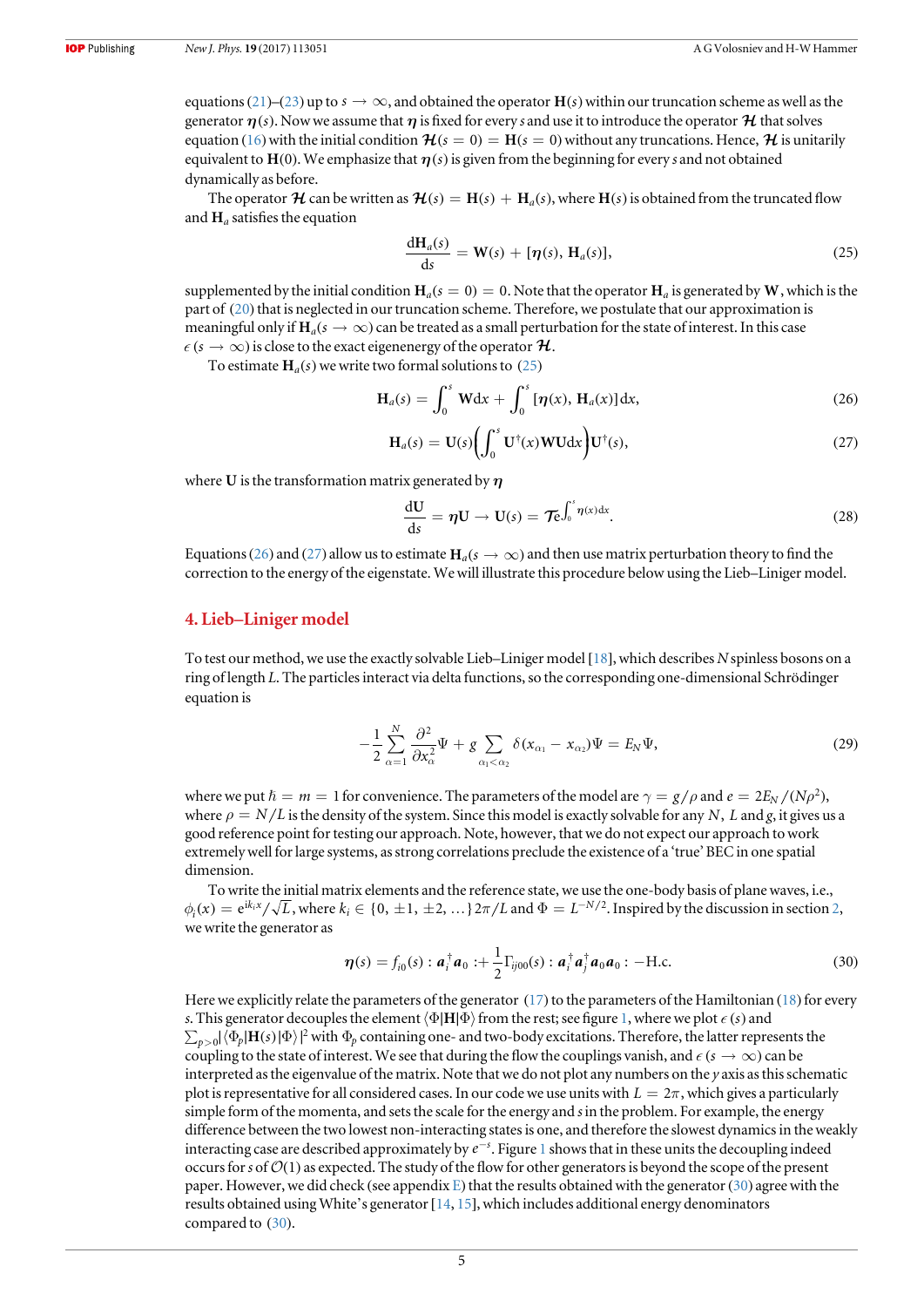<span id="page-5-0"></span>equations ([21](#page-4-0))–([23](#page-4-0)) up to  $s \to \infty$ , and obtained the operator  $H(s)$  within our truncation scheme as well as the generator  $\eta(s)$ . Now we assume that  $\eta$  is fixed for every s and use it to introduce the operator  $\mathcal H$  that solves equation ([16](#page-3-0)) with the initial condition  $\mathcal{H}(s = 0) = H(s = 0)$  without any truncations. Hence,  $\mathcal{H}$  is unitarily equivalent to  $H(0)$ . We emphasize that  $\eta(s)$  is given from the beginning for every s and not obtained dynamically as before.

The operator  $\mathcal{H}$  can be written as  $\mathcal{H}(s) = H(s) + H_a(s)$ , where  $H(s)$  is obtained from the truncated flow and **H***<sup>a</sup>* satisfies the equation

$$
\frac{d\mathbf{H}_a(s)}{ds} = \mathbf{W}(s) + [\eta(s), \mathbf{H}_a(s)],
$$
\n(25)

supplemented by the initial condition  $H_a(s = 0) = 0$ . Note that the operator  $H_a$  is generated by W, which is the part of ([20](#page-4-0)) that is neglected in our truncation scheme. Therefore, we postulate that our approximation is meaningful only if  $H_a(s \to \infty)$  can be treated as a small perturbation for the state of interest. In this case  $\epsilon$  ( $s \to \infty$ ) is close to the exact eigenenergy of the operator  $\mathcal{H}$ .

To estimate  $H_a(s)$  we write two formal solutions to (25)

$$
\mathbf{H}_a(s) = \int_0^s \mathbf{W} \mathrm{d}x + \int_0^s [\boldsymbol{\eta}(x), \mathbf{H}_a(x)] \mathrm{d}x,\tag{26}
$$

$$
\mathbf{H}_a(s) = \mathbf{U}(s) \bigg( \int_0^s \mathbf{U}^\dagger(x) \mathbf{W} \mathbf{U} \mathrm{d}x \bigg) \mathbf{U}^\dagger(s), \tag{27}
$$

where **U** is the transformation matrix generated by *h*

$$
\frac{\mathrm{d}U}{\mathrm{d}s} = \eta U \to U(s) = \mathcal{T}e^{\int_0^s \eta(x) \mathrm{d}x}.
$$
 (28)

Equations (26) and (27) allow us to estimate  $H_a(s \to \infty)$  and then use matrix perturbation theory to find the correction to the energy of the eigenstate. We will illustrate this procedure below using the Lieb–Liniger model.

#### 4. Lieb–Liniger model

To test our method, we use the exactly solvable Lieb–Liniger model [[18](#page-12-0)], which describes N spinless bosons on a ring of length L. The particles interact via delta functions, so the corresponding one-dimensional Schrödinger equation is

$$
-\frac{1}{2}\sum_{\alpha=1}^{N}\frac{\partial^{2}}{\partial x_{\alpha}^{2}}\Psi + g\sum_{\alpha_{1}<\alpha_{2}}\delta(x_{\alpha_{1}}-x_{\alpha_{2}})\Psi = E_{N}\Psi,
$$
\n(29)

where we put  $\hbar = m = 1$  for convenience. The parameters of the model are  $\gamma = g/\rho$  and  $e = 2E_N/(N\rho^2)$ , where  $\rho = N/L$  is the density of the system. Since this model is exactly solvable for any N, L and g, it gives us a good reference point for testing our approach. Note, however, that we do not expect our approach to work extremely well for large systems, as strong correlations preclude the existence of a 'true' BEC in one spatial dimension.

To write the initial matrix elements and the reference state, we use the one-body basis of plane waves, i.e.,  $\phi_i(x) = e^{ik_i x}/\sqrt{L}$ , where  $k_i \in \{0, \pm 1, \pm 2, \ldots\}$  $k_i \in \{0, \pm 1, \pm 2, \ldots\}$  $k_i \in \{0, \pm 1, \pm 2, \ldots\}$   $2\pi/L$  and  $\Phi = L^{-N/2}$ . Inspired by the discussion in section 2, we write the generator as

$$
\boldsymbol{\eta}(s) = f_{i0}(s) : \boldsymbol{a}_i^{\dagger} \boldsymbol{a}_0 : + \frac{1}{2} \Gamma_{ij00}(s) : \boldsymbol{a}_i^{\dagger} \boldsymbol{a}_j^{\dagger} \boldsymbol{a}_0 \boldsymbol{a}_0 : -\text{H.c.}
$$
\n(30)

Here we explicitly relate the parameters of the generator  $(17)$  $(17)$  $(17)$  to the parameters of the Hamiltonian  $(18)$  $(18)$  $(18)$  for every s. This generator decouples the element  $\langle \Phi | H | \Phi \rangle$  from the rest; see figure [1,](#page-6-0) where we plot  $\epsilon$  (*s*) and  $\sum_{p>0} |\langle \Phi_p|H(s)|\Phi\rangle|^2$  with  $\Phi_p$  containing one- and two-body excitations. Therefore, the latter represents the coupling to the state of interest. We see that during the flow the couplings vanish, and  $\epsilon$  ( $s \to \infty$ ) can be interpreted as the eigenvalue of the matrix. Note that we do not plot any numbers on the  $\gamma$  axis as this schematic plot is representative for all considered cases. In our code we use units with  $L = 2\pi$ , which gives a particularly simple form of the momenta, and sets the scale for the energy and s in the problem. For example, the energy difference between the two lowest non-interacting states is one, and therefore the slowest dynamics in the weakly interacting case are described approximately by  $e^{-s}$ . Figure [1](#page-6-0) shows that in these units the decoupling indeed occurs for s of  $\mathcal{O}(1)$  as expected. The study of the flow for other generators is beyond the scope of the present paper. However, we did check (see appendix [E](#page-10-0)) that the results obtained with the generator(30) agree with the results obtained using White's generator  $[14, 15]$  $[14, 15]$  $[14, 15]$  $[14, 15]$  $[14, 15]$ , which includes additional energy denominators compared to (30).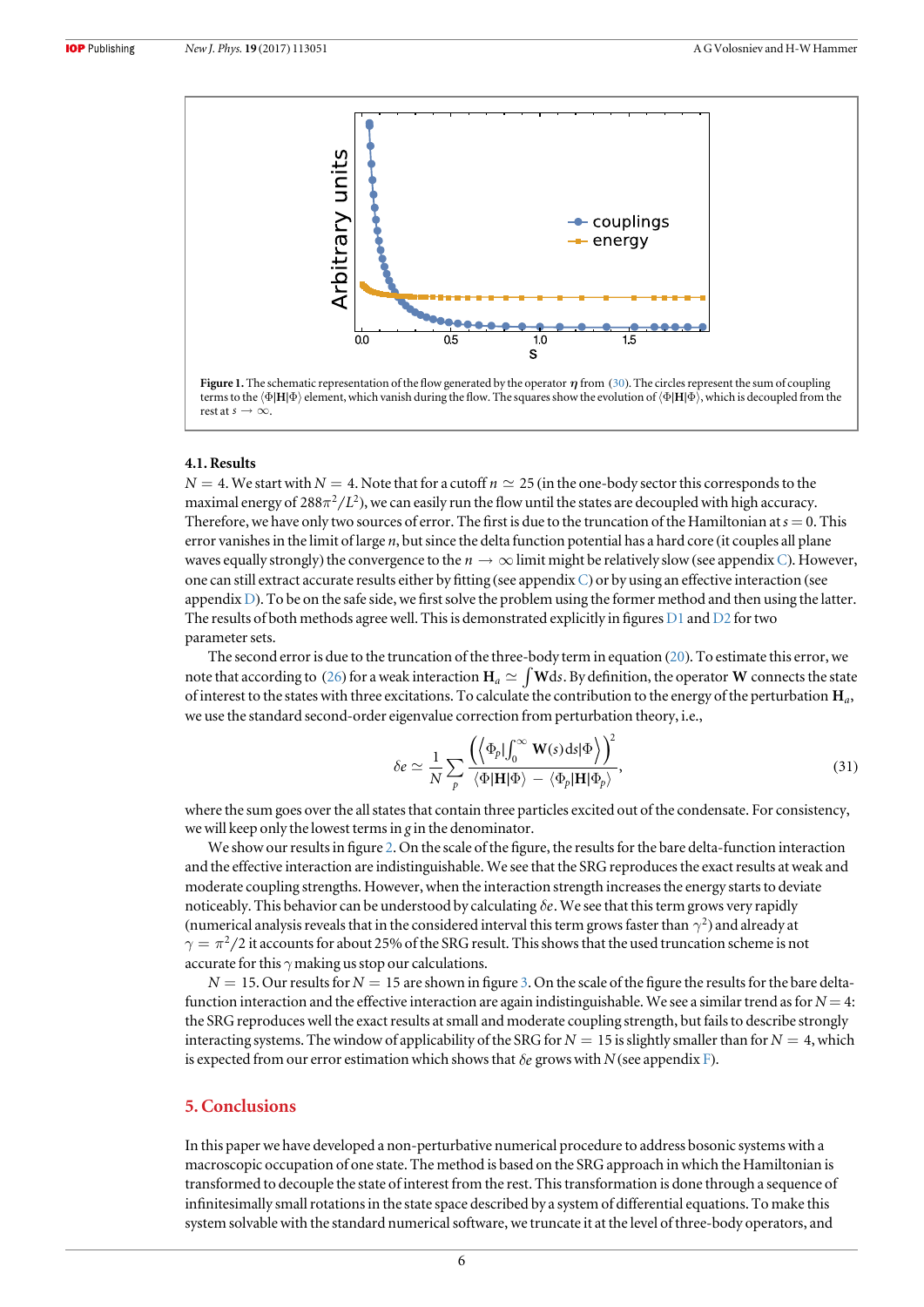<span id="page-6-0"></span>

Figure 1. The schematic representation of the flow generated by the operator  $\eta$  from ([30](#page-5-0)). The circles represent the sum of coupling terms to the  $\langle \Phi | \mathbf{H} | \Phi \rangle$  element, which vanish during the flow. The squares show the evolution of  $\langle \Phi | \mathbf{H} | \Phi \rangle$ , which is decoupled from the rest at  $s \rightarrow \infty$ .

#### 4.1. Results

 $N = 4$ . We start with  $N = 4$ . Note that for a cutoff  $n \approx 25$  (in the one-body sector this corresponds to the maximal energy of  $288\pi^2/L^2$ ), we can easily run the flow until the states are decoupled with high accuracy. Therefore, we have only two sources of error. The first is due to the truncation of the Hamiltonian at  $s = 0$ . This error vanishes in the limit of large  $n$ , but since the delta function potential has a hard core (it couples all plane waves equally strongly) the convergence to the  $n \to \infty$  limit might be relatively slow (see appendix [C](#page-8-0)). However, one can still extract accurate results either by fitting (see appendix  $C$ ) or by using an effective interaction (see appendix [D](#page-9-0)). To be on the safe side, we first solve the problem using the former method and then using the latter. The results of both methods agree well. This is demonstrated explicitly in figures  $D1$  and  $D2$  for two parameter sets.

The second error is due to the truncation of the three-body term in equation ([20](#page-4-0)). To estimate this error, we note that according to ([26](#page-5-0)) for a weak interaction  $H_a \simeq \int W ds$ . By definition, the operator W connects the state of interest to the states with three excitations. To calculate the contribution to the energy of the perturbation **H***a*, we use the standard second-order eigenvalue correction from perturbation theory, i.e.,

$$
\delta e \simeq \frac{1}{N} \sum_{p} \frac{\left( \left\langle \Phi_{p} | \int_{0}^{\infty} \mathbf{W}(s) \, ds | \Phi \right\rangle \right)^{2}}{\left\langle \Phi | \mathbf{H} | \Phi \right\rangle - \left\langle \Phi_{p} | \mathbf{H} | \Phi_{p} \right\rangle},\tag{31}
$$

where the sum goes over the all states that contain three particles excited out of the condensate. For consistency, we will keep only the lowest terms in g in the denominator.

We show our results in figure [2](#page-7-0). On the scale of the figure, the results for the bare delta-function interaction and the effective interaction are indistinguishable. We see that the SRG reproduces the exact results at weak and moderate coupling strengths. However, when the interaction strength increases the energy starts to deviate noticeably. This behavior can be understood by calculating *de*. We see that this term grows very rapidly (numerical analysis reveals that in the considered interval this term grows faster than  $\gamma^2$ ) and already at  $\gamma = \pi^2/2$  it accounts for about 25% of the SRG result. This shows that the used truncation scheme is not accurate for this  $\gamma$  making us stop our calculations.

 $N = 15$ . Our results for  $N = 15$  are shown in figure [3](#page-7-0). On the scale of the figure the results for the bare deltafunction interaction and the effective interaction are again indistinguishable. We see a similar trend as for  $N=4$ : the SRG reproduces well the exact results at small and moderate coupling strength, but fails to describe strongly interacting systems. The window of applicability of the SRG for  $N = 15$  is slightly smaller than for  $N = 4$ , which is expected from our error estimation which shows that  $\delta e$  grows with N (see appendix [F](#page-11-0)).

#### 5. Conclusions

In this paper we have developed a non-perturbative numerical procedure to address bosonic systems with a macroscopic occupation of one state. The method is based on the SRG approach in which the Hamiltonian is transformed to decouple the state of interest from the rest. This transformation is done through a sequence of infinitesimally small rotations in the state space described by a system of differential equations. To make this system solvable with the standard numerical software, we truncate it at the level of three-body operators, and

6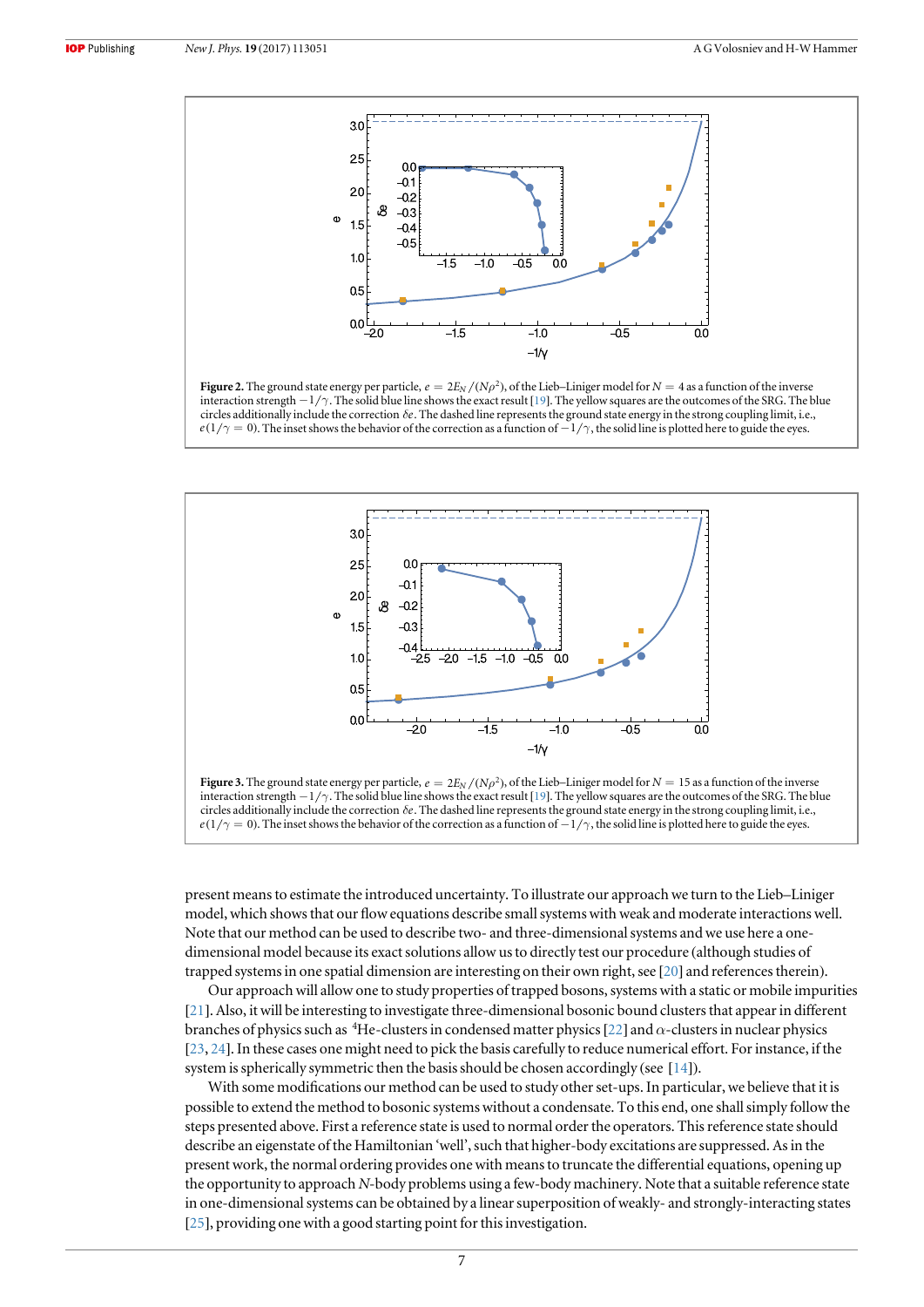<span id="page-7-0"></span>

Figure 2. The ground state energy per particle,  $e = 2E_N/(N\rho^2)$ , of the Lieb–Liniger model for  $N = 4$  as a function of the inverse interaction strength -1 *g*. The solid blue line shows the exact result [[19](#page-12-0)]. The yellow squares are the outcomes of the SRG. The blue circles additionally include the correction  $\delta e$ . The dashed line represents the ground state energy in the strong coupling limit, i.e.,  $e(1/\gamma = 0)$ . The inset shows the behavior of the correction as a function of  $-1/\gamma$ , the solid line is plotted here to guide the eyes.



present means to estimate the introduced uncertainty. To illustrate our approach we turn to the Lieb–Liniger model, which shows that our flow equations describe small systems with weak and moderate interactions well. Note that our method can be used to describe two- and three-dimensional systems and we use here a onedimensional model because its exact solutions allow us to directly test our procedure (although studies of trapped systems in one spatial dimension are interesting on their own right, see [[20](#page-12-0)] and references therein).

Our approach will allow one to study properties of trapped bosons, systems with a static or mobile impurities [[21](#page-12-0)]. Also, it will be interesting to investigate three-dimensional bosonic bound clusters that appear in different branches of physics such as <sup>4</sup>He-clusters in condensed matter physics [[22](#page-12-0)] and  $\alpha$ -clusters in nuclear physics [[23,](#page-12-0) [24](#page-12-0)]. In these cases one might need to pick the basis carefully to reduce numerical effort. For instance, if the system is spherically symmetric then the basis should be chosen accordingly (see [[14](#page-12-0)]).

With some modifications our method can be used to study other set-ups. In particular, we believe that it is possible to extend the method to bosonic systems without a condensate. To this end, one shall simply follow the steps presented above. First a reference state is used to normal order the operators. This reference state should describe an eigenstate of the Hamiltonian 'well', such that higher-body excitations are suppressed. As in the present work, the normal ordering provides one with means to truncate the differential equations, opening up the opportunity to approach N-body problems using a few-body machinery. Note that a suitable reference state in one-dimensional systems can be obtained by a linear superposition of weakly- and strongly-interacting states [[25](#page-12-0)], providing one with a good starting point for this investigation.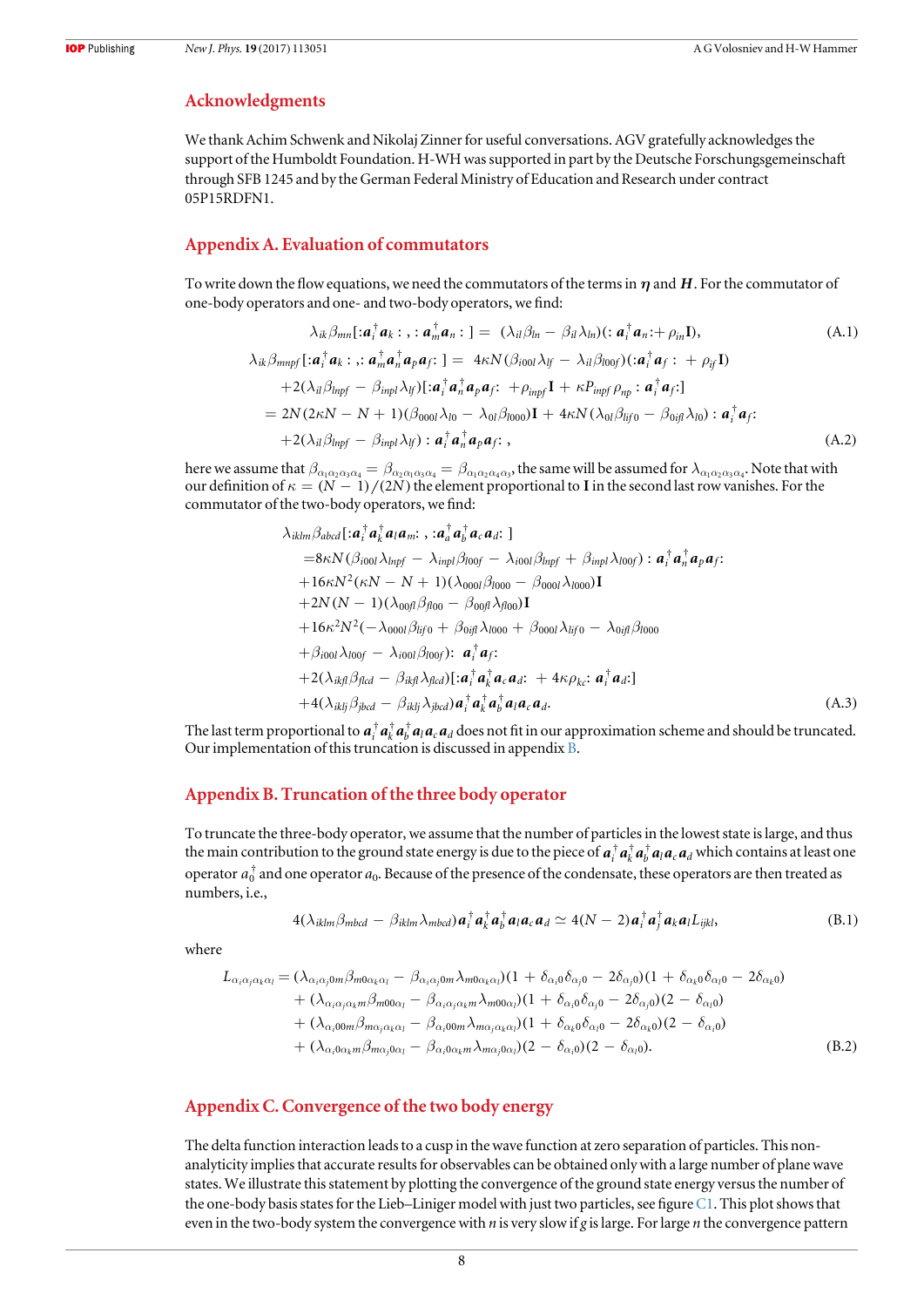#### <span id="page-8-0"></span>Acknowledgments

We thank Achim Schwenk and Nikolaj Zinner for useful conversations. AGV gratefully acknowledges the support of the Humboldt Foundation. H-WH was supported in part by the Deutsche Forschungsgemeinschaft through SFB 1245 and by the German Federal Ministry of Education and Research under contract 05P15RDFN1.

#### Appendix A. Evaluation of commutators

To write down the flow equations, we need the commutators of the terms in *h* and *H*. For the commutator of one-body operators and one- and two-body operators, we find:

$$
\lambda_{ik}\beta_{mn}[\mathbf{:}a_i^{\dagger}a_k; \mathbf{I}; a_m^{\dagger}a_n; \mathbf{I}] = (\lambda_{il}\beta_{ln} - \beta_{il}\lambda_{ln})(\mathbf{:}a_i^{\dagger}a_n; + \rho_{in}\mathbf{I}),
$$
\n(A.1)  
\n
$$
\lambda_{ik}\beta_{mnpf}[\mathbf{:}a_i^{\dagger}a_k; \mathbf{I}; a_m^{\dagger}a_n^{\dagger}a_p a_f; \mathbf{I}] = 4\kappa N(\beta_{i00l}\lambda_{lf} - \lambda_{il}\beta_{l00f})(\mathbf{:}a_i^{\dagger}a_f; + \rho_{if}\mathbf{I})
$$
\n
$$
+2(\lambda_{il}\beta_{lnpf} - \beta_{inpl}\lambda_{lf})[\mathbf{:}a_i^{\dagger}a_n^{\dagger}a_p a_f; + \rho_{inpf}\mathbf{I} + \kappa P_{inpf}\rho_{np} : a_i^{\dagger}a_f;]
$$
\n
$$
= 2N(2\kappa N - N + 1)(\beta_{000l}\lambda_{l0} - \lambda_{0l}\beta_{l000})\mathbf{I} + 4\kappa N(\lambda_{0l}\beta_{lifo} - \beta_{0if}\lambda_{l0}) : a_i^{\dagger}a_f;
$$
\n
$$
+2(\lambda_{il}\beta_{lnpf} - \beta_{inpl}\lambda_{lf}) : a_i^{\dagger}a_n^{\dagger}a_p a_f; ,
$$
\n(A.2)

here we assume that  $\beta_{\alpha_1\alpha_2\alpha_3\alpha_4}=\beta_{\alpha_2\alpha_1\alpha_3\alpha_4}=\beta_{\alpha_1\alpha_2\alpha_4\alpha_3}$ , the same will be assumed for  $\lambda_{\alpha_1\alpha_2\alpha_3\alpha_4}.$  Note that with our definition of  $\kappa = (N - 1)/(2N)$  the element proportional to **I** in the second last row vanishes. For the commutator of the two-body operators, we find:

$$
\lambda_{iklm}\beta_{abcd}[:a_i^{\dagger}a_k^{\dagger}a_l a_m; \, , :a_a^{\dagger}a_b^{\dagger}a_c a_d: ]
$$
\n
$$
=8\kappa N(\beta_{i00l}\lambda_{lnpf} - \lambda_{inpl}\beta_{l00f} - \lambda_{i00l}\beta_{lnpf} + \beta_{inpl}\lambda_{l00f}): a_i^{\dagger}a_n^{\dagger}a_p a_f: +16\kappa N^2(\kappa N - N + 1)(\lambda_{000l}\beta_{l000} - \beta_{000l}\lambda_{l000})I
$$
\n
$$
+2N(N - 1)(\lambda_{00fl}\beta_{fl00} - \beta_{00fl}\lambda_{fl00})I
$$
\n
$$
+16\kappa^2 N^2(-\lambda_{000l}\beta_{lifo} + \beta_{0ijl}\lambda_{l000} + \beta_{000l}\lambda_{lifo} - \lambda_{0ijl}\beta_{l000}
$$
\n
$$
+ \beta_{i00l}\lambda_{l00f} - \lambda_{i00l}\beta_{l00f}): a_i^{\dagger}a_f: +2(\lambda_{ikfl}\beta_{flcd} - \beta_{ikfl}\lambda_{flcd})[:a_i^{\dagger}a_k^{\dagger}a_c a_d: +4\kappa\rho_{kc}: a_i^{\dagger}a_d:]
$$
\n
$$
+4(\lambda_{iklj}\beta_{jlcd} - \beta_{iklj}\lambda_{jlcd})a_i^{\dagger}a_k^{\dagger}a_l^{\dagger}a_l a_c a_d. \qquad (A.3)
$$

The last term proportional to  $a_i^{\dagger} a_i^{\dagger} a_i^{\dagger} a_i a_i a_d$  does not fit in our approximation scheme and should be truncated. Our implementation of this truncation is discussed in appendix B.

#### Appendix B. Truncation of the three body operator

To truncate the three-body operator, we assume that the number of particles in the lowest state is large, and thus the main contribution to the ground state energy is due to the piece of  $a_i^{\dagger} a_k^{\dagger} a_l a_c a_d$  which contains at least one operator  $a_0^\dagger$  and one operator  $a_0$ . Because of the presence of the condensate, these operators are then treated as numbers, i.e.,

$$
4(\lambda_{iklm}\beta_{mbcd}-\beta_{iklm}\lambda_{mbcd})\boldsymbol{a}_i^{\dagger}\boldsymbol{a}_k^{\dagger}\boldsymbol{a}_l\boldsymbol{a}_c\boldsymbol{a}_d \simeq 4(N-2)\boldsymbol{a}_i^{\dagger}\boldsymbol{a}_j^{\dagger}\boldsymbol{a}_k\boldsymbol{a}_lL_{ijkl},
$$
\n(B.1)

where

$$
L_{\alpha_i\alpha_j\alpha_k\alpha_l} = (\lambda_{\alpha_i\alpha_j 0m} \beta_{m0\alpha_k\alpha_l} - \beta_{\alpha_i\alpha_j 0m} \lambda_{m0\alpha_k\alpha_l})(1 + \delta_{\alpha_i 0} \delta_{\alpha_j 0} - 2\delta_{\alpha_j 0})(1 + \delta_{\alpha_k 0} \delta_{\alpha_l 0} - 2\delta_{\alpha_k 0})
$$
  
+ 
$$
(\lambda_{\alpha_i\alpha_j\alpha_k m} \beta_{m0\alpha_l} - \beta_{\alpha_i\alpha_j\alpha_k m} \lambda_{m0\alpha_l})(1 + \delta_{\alpha_i 0} \delta_{\alpha_j 0} - 2\delta_{\alpha_j 0})(2 - \delta_{\alpha_l 0})
$$
  
+ 
$$
(\lambda_{\alpha_i 00m} \beta_{m\alpha_j \alpha_k \alpha_l} - \beta_{\alpha_i 00m} \lambda_{m\alpha_j \alpha_k \alpha_l})(1 + \delta_{\alpha_k 0} \delta_{\alpha_l 0} - 2\delta_{\alpha_k 0})(2 - \delta_{\alpha_l 0})
$$
  
+ 
$$
(\lambda_{\alpha_i 0\alpha_k m} \beta_{m\alpha_j 0\alpha_l} - \beta_{\alpha_i 0\alpha_k m} \lambda_{m\alpha_j 0\alpha_l})(2 - \delta_{\alpha_i 0})(2 - \delta_{\alpha_l 0}).
$$
(B.2)

#### Appendix C. Convergence of the two body energy

The delta function interaction leads to a cusp in the wave function at zero separation of particles. This nonanalyticity implies that accurate results for observables can be obtained only with a large number of plane wave states. We illustrate this statement by plotting the convergence of the ground state energy versus the number of the one-body basis states for the Lieb–Liniger model with just two particles, see figure [C1.](#page-9-0) This plot shows that even in the two-body system the convergence with  $n$  is very slow if g is large. For large  $n$  the convergence pattern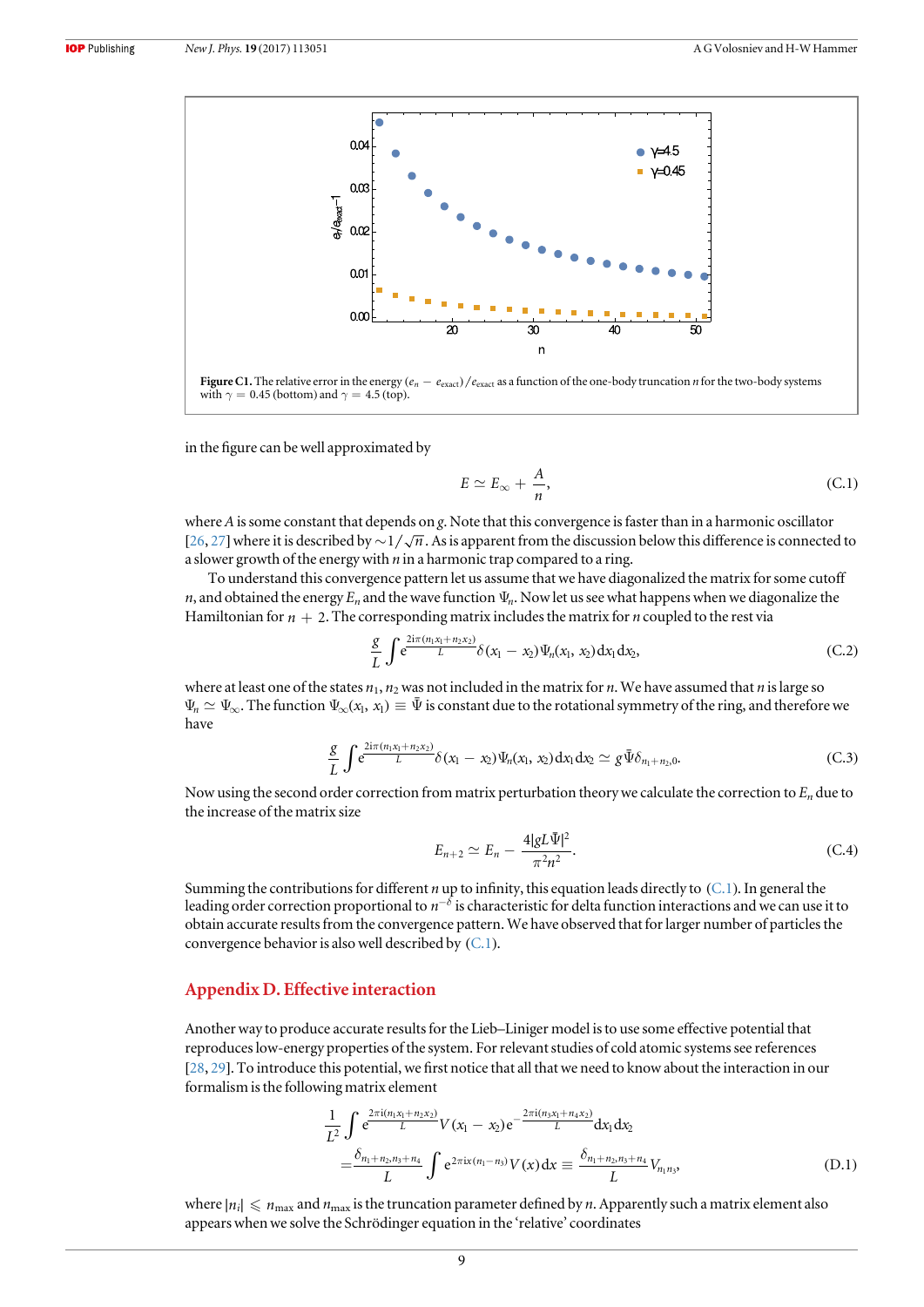<span id="page-9-0"></span>

in the figure can be well approximated by

$$
E \simeq E_{\infty} + \frac{A}{n},\tag{C.1}
$$

where A is some constant that depends on g. Note that this convergence is faster than in a harmonic oscillator [[26,](#page-12-0) [27](#page-12-0)] where it is described by  $\sim 1/\sqrt{n}$ . As is apparent from the discussion below this difference is connected to a slower growth of the energy with  $n$  in a harmonic trap compared to a ring.

To understand this convergence pattern let us assume that we have diagonalized the matrix for some cutoff *n*, and obtained the energy  $E_n$  and the wave function  $\Psi_n$ . Now let us see what happens when we diagonalize the Hamiltonian for  $n + 2$ . The corresponding matrix includes the matrix for *n* coupled to the rest via

$$
\frac{g}{L} \int e^{\frac{2i\pi (n_1 x_1 + n_2 x_2)}{L}} \delta(x_1 - x_2) \Psi_n(x_1, x_2) dx_1 dx_2, \tag{C.2}
$$

where at least one of the states  $n_1$ ,  $n_2$  was not included in the matrix for n. We have assumed that n is large so  $\Psi_n \simeq \Psi_\infty$ . The function  $\Psi_\infty(x_1, x_1) \equiv \bar{\Psi}$  is constant due to the rotational symmetry of the ring, and therefore we have

$$
\frac{g}{L} \int e^{\frac{2i\pi (n_1 x_1 + n_2 x_2)}{L}} \delta(x_1 - x_2) \Psi_n(x_1, x_2) dx_1 dx_2 \simeq g \bar{\Psi} \delta_{n_1 + n_2, 0}.
$$
 (C.3)

Now using the second order correction from matrix perturbation theory we calculate the correction to  $E_n$  due to the increase of the matrix size

$$
E_{n+2} \simeq E_n - \frac{4|gL\bar{\Psi}|^2}{\pi^2 n^2}.
$$
\n(C.4)

Summing the contributions for different *n* up to infinity, this equation leads directly to  $(C.1)$ . In general the leading order correction proportional to  $n^{-\delta}$  is characteristic for delta function interactions and we can use it to obtain accurate results from the convergence pattern. We have observed that for larger number of particles the convergence behavior is also well described by (C.1).

#### Appendix D. Effective interaction

Another way to produce accurate results for the Lieb–Liniger model is to use some effective potential that reproduces low-energy properties of the system. For relevant studies of cold atomic systems see references [[28,](#page-12-0) [29](#page-12-0)]. To introduce this potential, we first notice that all that we need to know about the interaction in our formalism is the following matrix element

$$
\frac{1}{L^2} \int e^{\frac{2\pi i (n_1 x_1 + n_2 x_2)}{L}} V(x_1 - x_2) e^{-\frac{2\pi i (n_3 x_1 + n_4 x_2)}{L}} dx_1 dx_2
$$
\n
$$
= \frac{\delta_{n_1 + n_2, n_3 + n_4}}{L} \int e^{2\pi i x (n_1 - n_3)} V(x) dx \equiv \frac{\delta_{n_1 + n_2, n_3 + n_4}}{L} V_{n_1 n_3}, \tag{D.1}
$$

where  $|n_i| \le n_{\text{max}}$  and  $n_{\text{max}}$  is the truncation parameter defined by *n*. Apparently such a matrix element also appears when we solve the Schrödinger equation in the 'relative' coordinates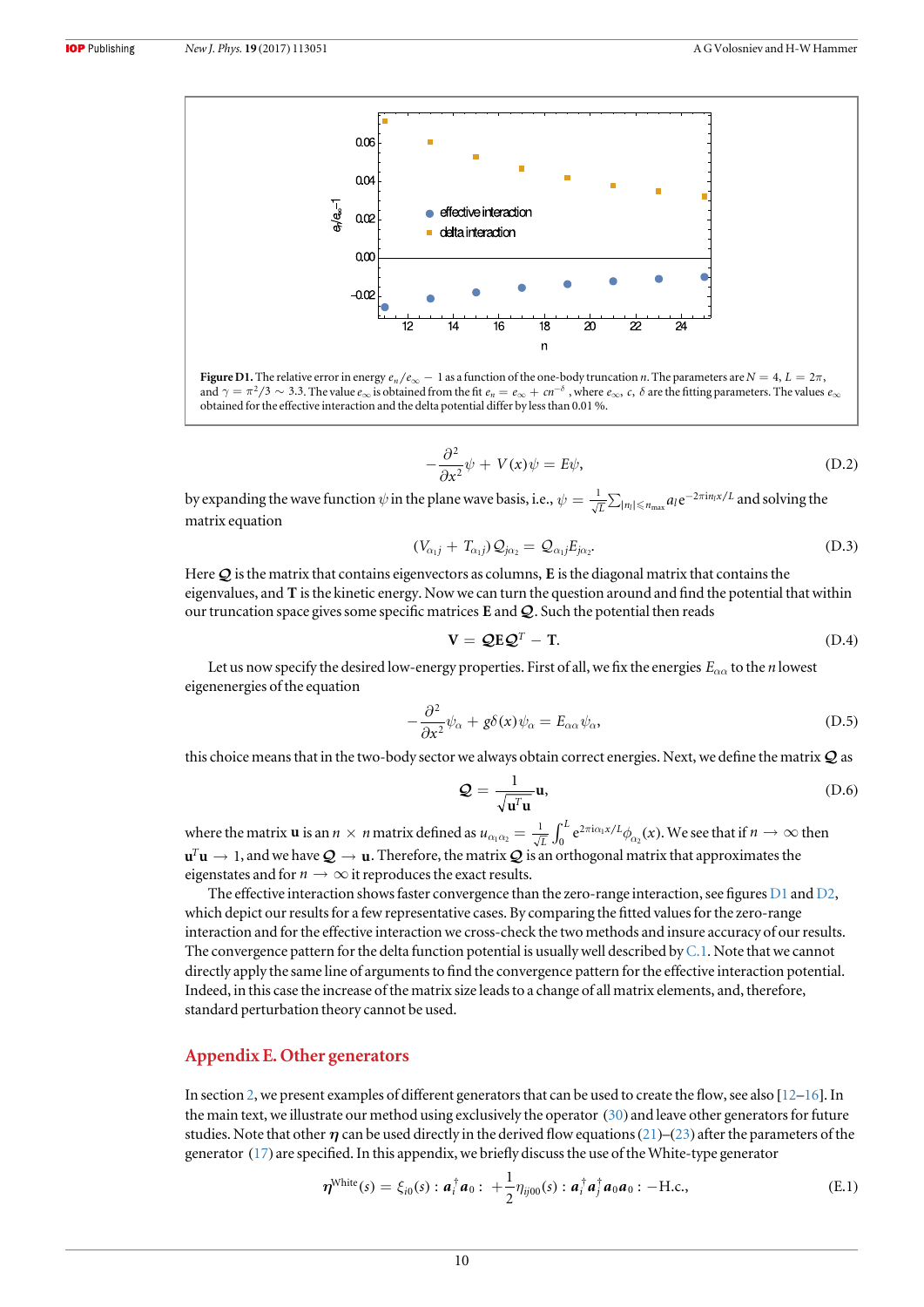<span id="page-10-0"></span>

Figure D1. The relative error in energy  $e_n/e_\infty - 1$  as a function of the one-body truncation *n*. The parameters are  $N = 4$ ,  $L = 2\pi$ , and  $\gamma = \pi^2/3 \sim 3.3$ . The value  $e_{\infty}$  is obtained from the fit  $e_n = e_{\infty} + cn^{-\delta}$ , where  $e_{\infty}$ ,  $c$ ,  $\delta$  are the fitting parameters. The values  $e_{\infty}$ obtained for the effective interaction and the delta potential differ by less than 0.01 %.

$$
-\frac{\partial^2}{\partial x^2}\psi + V(x)\psi = E\psi,
$$
 (D.2)

by expanding the wave function  $\psi$  in the plane wave basis, i.e.,  $\psi=\frac{1}{\sqrt{L}}\sum_{|n_l|\leqslant n_{\max}}a_l{\rm e}^{-2\pi{\rm i}n_lx/L}$  and solving the matrix equation

$$
(V_{\alpha_1j} + T_{\alpha_1j})\mathcal{Q}_{j\alpha_2} = \mathcal{Q}_{\alpha_1j}E_{j\alpha_2}.
$$
 (D.3)

Here  $Q$  is the matrix that contains eigenvectors as columns, **E** is the diagonal matrix that contains the eigenvalues, and **T** is the kinetic energy. Now we can turn the question around and find the potential that within our truncation space gives some specific matrices  $E$  and  $Q$ . Such the potential then reads

$$
\mathbf{V} = \mathbf{Q} \mathbf{E} \mathbf{Q}^T - \mathbf{T}.\tag{D.4}
$$

Let us now specify the desired low-energy properties. First of all, we fix the energies  $E_{\alpha\alpha}$  to the *n* lowest eigenenergies of the equation

$$
-\frac{\partial^2}{\partial x^2}\psi_\alpha + g\delta(x)\psi_\alpha = E_{\alpha\alpha}\psi_\alpha, \tag{D.5}
$$

this choice means that in the two-body sector we always obtain correct energies. Next, we define the matrix  $\mathcal Q$  as

$$
Q = \frac{1}{\sqrt{\mathbf{u}^T \mathbf{u}}} \mathbf{u},\tag{D.6}
$$

where the matrix **u** is an  $n \times n$  matrix defined as  $u_{\alpha_1\alpha_2} = \frac{1}{\sqrt{L}} \int_0^L e^{2\pi i \alpha_1 x/L} \phi_{\alpha_2}(x)$  $\frac{1}{\pi} \int_{0}^{L} e^{2\pi i \alpha_1 x/L}$ 0  $\lambda_{\alpha_1\alpha_2} = \frac{1}{\sqrt{L}}\int_0^L e^{2\pi i \alpha_1 x/L} \phi_{\alpha_2}(x)$ . We see that if  $n \to \infty$  then  ${\bf u}^T{\bf u}\to 1,$  and we have  ${\cal Q}\to{\bf u}$  . Therefore, the matrix  ${\cal Q}$  is an orthogonal matrix that approximates the eigenstates and for  $n \to \infty$  it reproduces the exact results.

The effective interaction shows faster convergence than the zero-range interaction, see figures  $D1$  and  $D2$ , which depict our results for a few representative cases. By comparing the fitted values for the zero-range interaction and for the effective interaction we cross-check the two methods and insure accuracy of our results. The convergence pattern for the delta function potential is usually well described by  $C.1$ . Note that we cannot directly apply the same line of arguments to find the convergence pattern for the effective interaction potential. Indeed, in this case the increase of the matrix size leads to a change of all matrix elements, and, therefore, standard perturbation theory cannot be used.

#### Appendix E. Other generators

In section [2,](#page-2-0) we present examples of different generators that can be used to create the flow, see also [[12](#page-12-0)–[16](#page-12-0)]. In the main text, we illustrate our method using exclusively the operator ([30](#page-5-0)) and leave other generators for future studies. Note that other  $\eta$  can be used directly in the derived flow equations ([21](#page-4-0))–([23](#page-4-0)) after the parameters of the generator ([17](#page-4-0)) are specified. In this appendix, we briefly discuss the use of the White-type generator

$$
\boldsymbol{\eta}^{\text{White}}(s) = \xi_{i0}(s) : \boldsymbol{a}_i^{\dagger} \boldsymbol{a}_0 : + \frac{1}{2} \eta_{ij00}(s) : \boldsymbol{a}_i^{\dagger} \boldsymbol{a}_j^{\dagger} \boldsymbol{a}_0 \boldsymbol{a}_0 : -\text{H.c.},
$$
\n(E.1)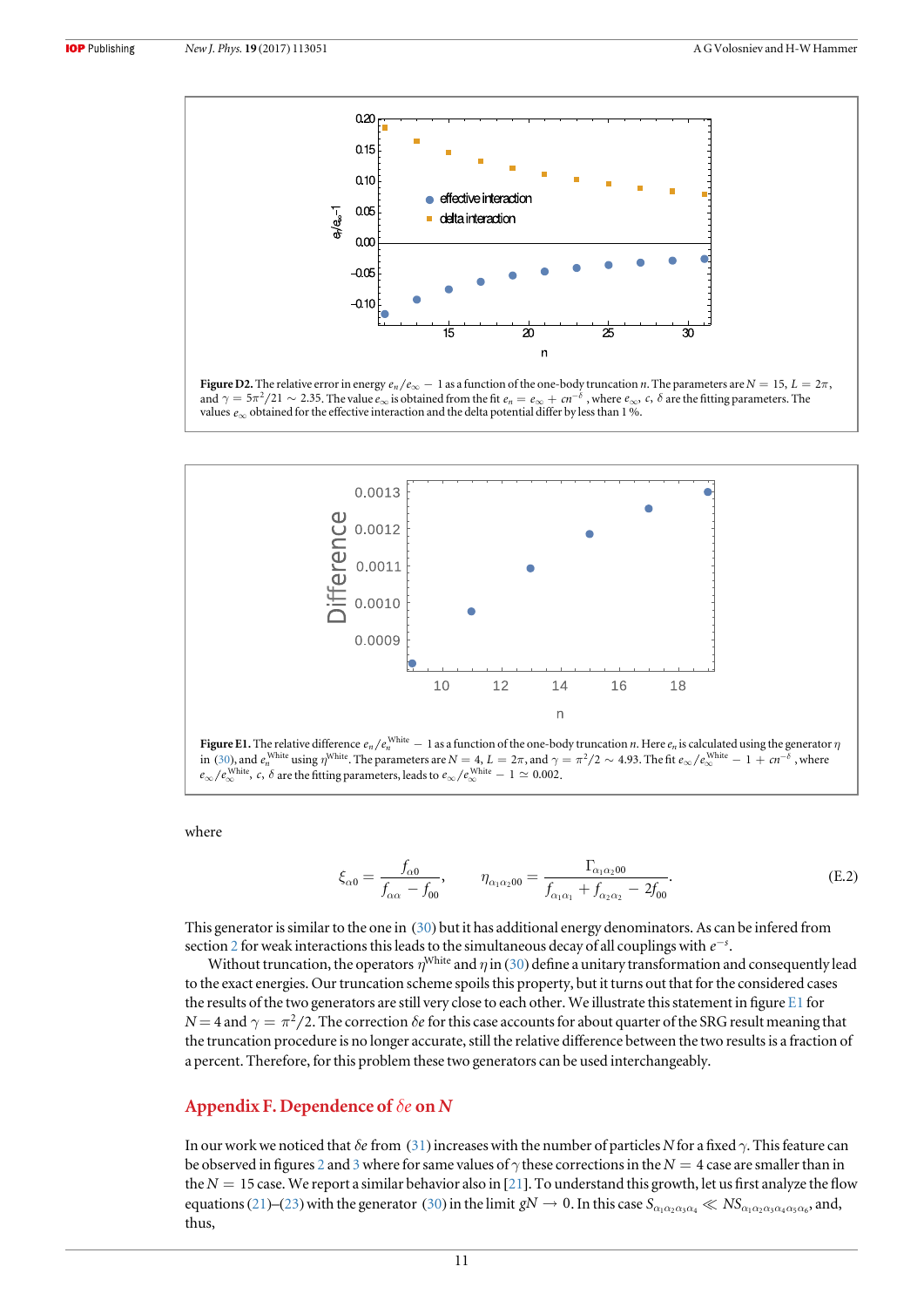<span id="page-11-0"></span>

Figure D2. The relative error in energy  $e_n/e_\infty - 1$  as a function of the one-body truncation *n*. The parameters are  $N = 15$ ,  $L = 2\pi$ , and  $\gamma = 5\pi^2/21 \sim 2.35$ . The value  $e_{\infty}$  is obtained from the fit  $e_n = e_{\infty} + cn^{-\delta}$ , where  $e_{\infty}$ , c,  $\delta$  are the fitting parameters. The values  $e_{\infty}$  obtained for the effective interaction and the delta potential differ by less than 1 %.



where

$$
\xi_{\alpha 0} = \frac{f_{\alpha 0}}{f_{\alpha \alpha} - f_{00}}, \qquad \eta_{\alpha_1 \alpha_2 00} = \frac{\Gamma_{\alpha_1 \alpha_2 00}}{f_{\alpha_1 \alpha_1} + f_{\alpha_2 \alpha_2} - 2f_{00}}.
$$
\n(E.2)

This generator is similar to the one in ([30](#page-5-0)) but it has additional energy denominators. As can be infered from section [2](#page-2-0) for weak interactions this leads to the simultaneous decay of all couplings with  $e^{-s}$ .

Without truncation, the operators  $\eta^{\text{White}}$  and  $\eta$  in ([30](#page-5-0)) define a unitary transformation and consequently lead to the exact energies. Our truncation scheme spoils this property, but it turns out that for the considered cases the results of the two generators are still very close to each other. We illustrate this statement in figure E1 for  $N = 4$  and  $\gamma = \pi^2/2$ . The correction  $\delta e$  for this case accounts for about quarter of the SRG result meaning that the truncation procedure is no longer accurate, still the relative difference between the two results is a fraction of a percent. Therefore, for this problem these two generators can be used interchangeably.

#### Appendix F. Dependence of *de* on N

In our work we noticed that  $\delta e$  from ([31](#page-6-0)) increases with the number of particles N for a fixed  $\gamma$ . This feature can be observed in figures [2](#page-7-0) and [3](#page-7-0) where for same values of  $\gamma$  these corrections in the  $N = 4$  case are smaller than in the  $N = 15$  case. We report a similar behavior also in [[21](#page-12-0)]. To understand this growth, let us first analyze the flow equations ([21](#page-4-0))–([23](#page-4-0)) with the generator ([30](#page-5-0)) in the limit  $gN \to 0$ . In this case  $S_{\alpha_1\alpha_2\alpha_3\alpha_4} \ll NS_{\alpha_1\alpha_2\alpha_3\alpha_4\alpha_5\alpha_6}$ , and, thus,